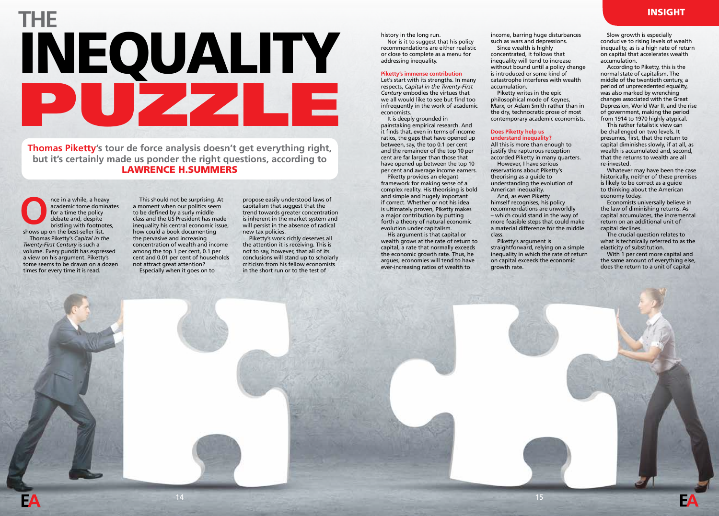# **THE** INEQUALITY PUZZLE

# **Thomas Piketty's tour de force analysis doesn't get everything right, but it's certainly made us ponder the right questions, according to** LAWRENCE H.SUMMERS

nce in a while, a heavy academic tome dominates for a time the policy debate and, despite bristling with footnotes, shows up on the best-seller list. Thomas Piketty's *Capital in the Twenty-First Century* is such a volume. Every pundit has expressed a view on his argument. Piketty's tome seems to be drawn on a dozen times for every time it is read. **O**

This should not be surprising. At a moment when our politics seem to be defined by a surly middle class and the US President has made inequality his central economic issue, how could a book documenting the pervasive and increasing concentration of wealth and income among the top 1 per cent, 0.1 per cent and 0.01 per cent of households not attract great attention? Especially when it goes on to

propose easily understood laws of capitalism that suggest that the trend towards greater concentration is inherent in the market system and will persist in the absence of radical new tax policies.

Piketty's work richly deserves all the attention it is receiving. This is not to say, however, that all of its conclusions will stand up to scholarly criticism from his fellow economists in the short run or to the test of

history in the long run. Nor is it to suggest that his policy recommendations are either realistic or close to complete as a menu for addressing inequality.

### **Piketty's immense contribution**

Let's start with its strengths. In many respects, *Capital in the Twenty-First Century* embodies the virtues that we all would like to see but find too infrequently in the work of academic economists.

It is deeply grounded in painstaking empirical research. And it finds that, even in terms of income ratios, the gaps that have opened up between, say, the top 0.1 per cent and the remainder of the top 10 per cent are far larger than those that have opened up between the top 10 per cent and average income earners.

Piketty provides an elegant framework for making sense of a complex reality. His theorising is bold and simple and hugely important if correct. Whether or not his idea is ultimately proven, Piketty makes a major contribution by putting forth a theory of natural economic evolution under capitalism.

His argument is that capital or wealth grows at the rate of return to capital, a rate that normally exceeds the economic growth rate. Thus, he argues, economies will tend to have ever-increasing ratios of wealth to

income, barring huge disturbances such as wars and depressions. Since wealth is highly

concentrated, it follows that inequality will tend to increase without bound until a policy change is introduced or some kind of catastrophe interferes with wealth accumulation.

Piketty writes in the epic philosophical mode of Keynes, Marx, or Adam Smith rather than in the dry, technocratic prose of most contemporary academic economists.

## **Does Piketty help us understand inequality?**

All this is more than enough to justify the rapturous reception accorded Piketty in many quarters. However, I have serious

reservations about Piketty's theorising as a guide to understanding the evolution of American inequality.

And, as even Piketty himself recognises, his policy recommendations are unworldly – which could stand in the way of more feasible steps that could make a material difference for the middle class.

Piketty's argument is straightforward, relying on a simple inequality in which the rate of return on capital exceeds the economic growth rate.

15

Slow growth is especially conducive to rising levels of wealth inequality, as is a high rate of return on capital that accelerates wealth accumulation.

According to Piketty, this is the normal state of capitalism. The middle of the twentieth century, a period of unprecedented equality, was also marked by wrenching changes associated with the Great Depression, World War II, and the rise of government, making the period from 1914 to 1970 highly atypical.

This rather fatalistic view can be challenged on two levels. It presumes, first, that the return to capital diminishes slowly, if at all, as wealth is accumulated and, second, that the returns to wealth are all re-invested.

Whatever may have been the case historically, neither of these premises is likely to be correct as a guide to thinking about the American economy today.

Economists universally believe in the law of diminishing returns. As capital accumulates, the incremental return on an additional unit of capital declines.

The crucial question relates to what is technically referred to as the elasticity of substitution.

With 1 per cent more capital and the same amount of everything else, does the return to a unit of capital

INSIGHT

14